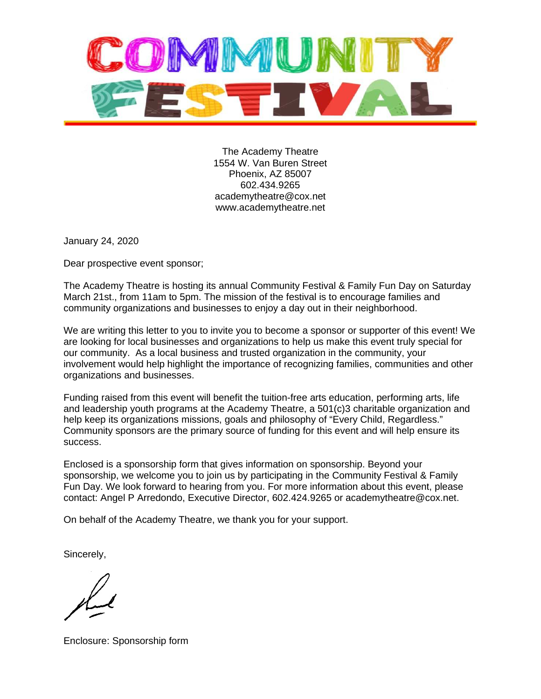

The Academy Theatre 1554 W. Van Buren Street Phoenix, AZ 85007 602.434.9265 academytheatre@cox.net www.academytheatre.net

January 24, 2020

Dear prospective event sponsor;

The Academy Theatre is hosting its annual Community Festival & Family Fun Day on Saturday March 21st., from 11am to 5pm. The mission of the festival is to encourage families and community organizations and businesses to enjoy a day out in their neighborhood.

We are writing this letter to you to invite you to become a sponsor or supporter of this event! We are looking for local businesses and organizations to help us make this event truly special for our community. As a local business and trusted organization in the community, your involvement would help highlight the importance of recognizing families, communities and other organizations and businesses.

Funding raised from this event will benefit the tuition-free arts education, performing arts, life and leadership youth programs at the Academy Theatre, a 501(c)3 charitable organization and help keep its organizations missions, goals and philosophy of "Every Child, Regardless." Community sponsors are the primary source of funding for this event and will help ensure its success.

Enclosed is a sponsorship form that gives information on sponsorship. Beyond your sponsorship, we welcome you to join us by participating in the Community Festival & Family Fun Day. We look forward to hearing from you. For more information about this event, please contact: Angel P Arredondo, Executive Director, 602.424.9265 or academytheatre@cox.net.

On behalf of the Academy Theatre, we thank you for your support.

Sincerely,

Enclosure: Sponsorship form